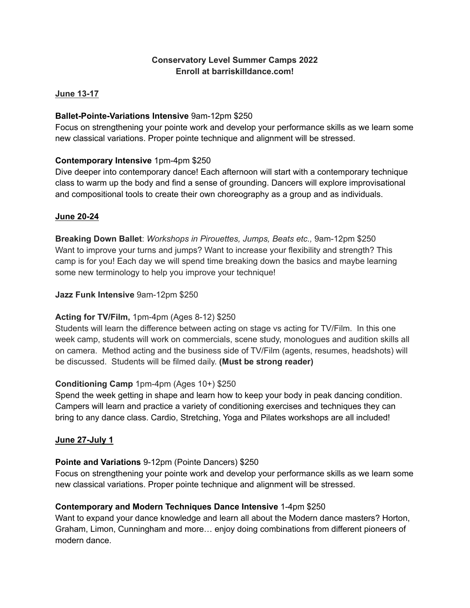## **Conservatory Level Summer Camps 2022 Enroll at barriskilldance.com!**

#### **June 13-17**

## **Ballet-Pointe-Variations Intensive** 9am-12pm \$250

Focus on strengthening your pointe work and develop your performance skills as we learn some new classical variations. Proper pointe technique and alignment will be stressed.

## **Contemporary Intensive** 1pm-4pm \$250

Dive deeper into contemporary dance! Each afternoon will start with a contemporary technique class to warm up the body and find a sense of grounding. Dancers will explore improvisational and compositional tools to create their own choreography as a group and as individuals.

#### **June 20-24**

**Breaking Down Ballet**: *Workshops in Pirouettes, Jumps, Beats etc.,* 9am-12pm \$250 Want to improve your turns and jumps? Want to increase your flexibility and strength? This camp is for you! Each day we will spend time breaking down the basics and maybe learning some new terminology to help you improve your technique!

#### **Jazz Funk Intensive** 9am-12pm \$250

## **Acting for TV/Film,** 1pm-4pm (Ages 8-12) \$250

Students will learn the difference between acting on stage vs acting for TV/Film. In this one week camp, students will work on commercials, scene study, monologues and audition skills all on camera. Method acting and the business side of TV/Film (agents, resumes, headshots) will be discussed. Students will be filmed daily. **(Must be strong reader)**

## **Conditioning Camp** 1pm-4pm (Ages 10+) \$250

Spend the week getting in shape and learn how to keep your body in peak dancing condition. Campers will learn and practice a variety of conditioning exercises and techniques they can bring to any dance class. Cardio, Stretching, Yoga and Pilates workshops are all included!

#### **June 27-July 1**

#### **Pointe and Variations** 9-12pm (Pointe Dancers) \$250

Focus on strengthening your pointe work and develop your performance skills as we learn some new classical variations. Proper pointe technique and alignment will be stressed.

#### **Contemporary and Modern Techniques Dance Intensive** 1-4pm \$250

Want to expand your dance knowledge and learn all about the Modern dance masters? Horton, Graham, Limon, Cunningham and more… enjoy doing combinations from different pioneers of modern dance.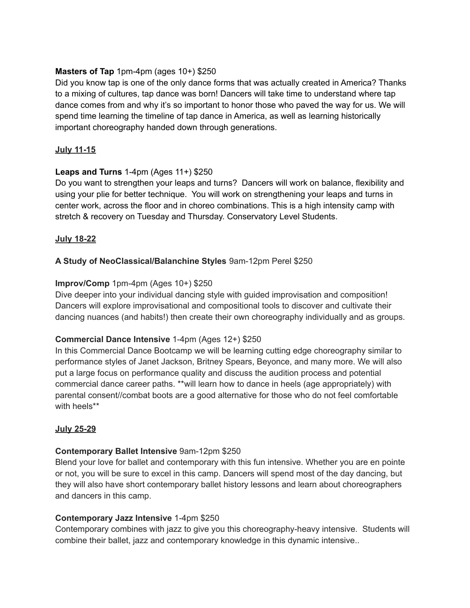## **Masters of Tap** 1pm-4pm (ages 10+) \$250

Did you know tap is one of the only dance forms that was actually created in America? Thanks to a mixing of cultures, tap dance was born! Dancers will take time to understand where tap dance comes from and why it's so important to honor those who paved the way for us. We will spend time learning the timeline of tap dance in America, as well as learning historically important choreography handed down through generations.

## **July 11-15**

## **Leaps and Turns** 1-4pm (Ages 11+) \$250

Do you want to strengthen your leaps and turns? Dancers will work on balance, flexibility and using your plie for better technique. You will work on strengthening your leaps and turns in center work, across the floor and in choreo combinations. This is a high intensity camp with stretch & recovery on Tuesday and Thursday. Conservatory Level Students.

## **July 18-22**

## **A Study of NeoClassical/Balanchine Styles** 9am-12pm Perel \$250

## **Improv/Comp** 1pm-4pm (Ages 10+) \$250

Dive deeper into your individual dancing style with guided improvisation and composition! Dancers will explore improvisational and compositional tools to discover and cultivate their dancing nuances (and habits!) then create their own choreography individually and as groups.

## **Commercial Dance Intensive** 1-4pm (Ages 12+) \$250

In this Commercial Dance Bootcamp we will be learning cutting edge choreography similar to performance styles of Janet Jackson, Britney Spears, Beyonce, and many more. We will also put a large focus on performance quality and discuss the audition process and potential commercial dance career paths. \*\*will learn how to dance in heels (age appropriately) with parental consent//combat boots are a good alternative for those who do not feel comfortable with heels\*\*

## **July 25-29**

## **Contemporary Ballet Intensive** 9am-12pm \$250

Blend your love for ballet and contemporary with this fun intensive. Whether you are en pointe or not, you will be sure to excel in this camp. Dancers will spend most of the day dancing, but they will also have short contemporary ballet history lessons and learn about choreographers and dancers in this camp.

## **Contemporary Jazz Intensive** 1-4pm \$250

Contemporary combines with jazz to give you this choreography-heavy intensive. Students will combine their ballet, jazz and contemporary knowledge in this dynamic intensive..